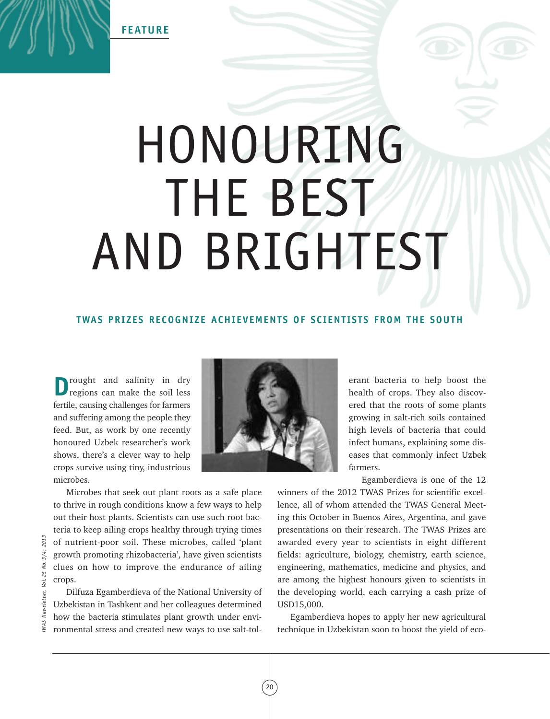**FEATURE**

# HONOURING THE BEST AND BRIGHTEST

# **TWAS PRIZES RECOGNIZE ACHIEVEMENTS OF SCIENT ISTS FROM THE SOUTH**

rought and salinity in dry regions can make the soil less fertile, causing challenges for farmers and suffering among the people they feed. But, as work by one recently honoured Uzbek researcher's work shows, there's a clever way to help crops survive using tiny, industrious microbes.



20

Microbes that seek out plant roots as a safe place to thrive in rough conditions know a few ways to help out their host plants. Scientists can use such root bacteria to keep ailing crops healthy through trying times of nutrient-poor soil. These microbes, called 'plant growth promoting rhizobacteria', have given scientists clues on how to improve the endurance of ailing crops.

Dilfuza Egamberdieva of the National University of Uzbekistan in Tashkent and her colleagues determined how the bacteria stimulates plant growth under environmental stress and created new ways to use salt-tolerant bacteria to help boost the health of crops. They also discovered that the roots of some plants growing in salt-rich soils contained high levels of bacteria that could infect humans, explaining some diseases that commonly infect Uzbek farmers.

Egamberdieva is one of the 12

winners of the 2012 TWAS Prizes for scientific excellence, all of whom attended the TWAS General Meeting this October in Buenos Aires, Argentina, and gave presentations on their research. The TWAS Prizes are awarded every year to scientists in eight different fields: agriculture, biology, chemistry, earth science, engineering, mathematics, medicine and physics, and are among the highest honours given to scientists in the developing world, each carrying a cash prize of USD15,000.

Egamberdieva hopes to apply her new agricultural technique in Uzbekistan soon to boost the yield of eco-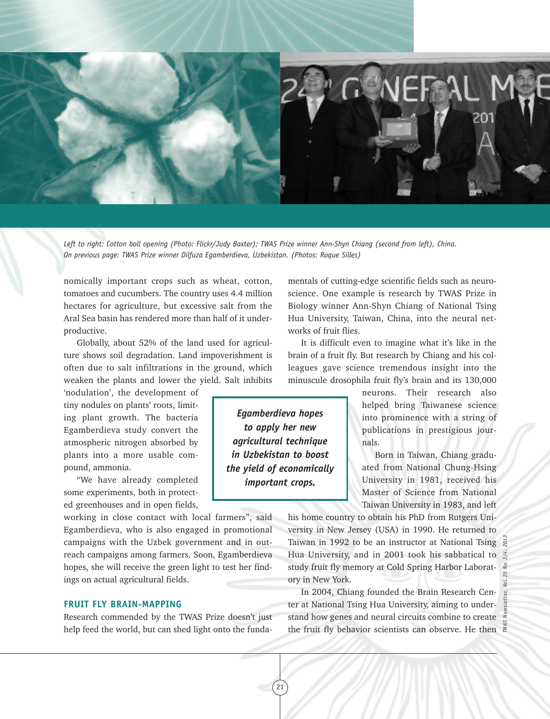

Left to right: Cotton boll opening (Photo: Flickr/Judy Baxter); TWAS Prize winner Ann-Shyn Chiang (second from left), China. *On previous page: TWAS Prize winner Dilfuza Egamberdieva, Uzbekistan. (Photos: Roque Silles)*

nomically important crops such as wheat, cotton, tomatoes and cucumbers. The country uses 4.4 million hectares for agriculture, but excessive salt from the Aral Sea basin has rendered more than half of it underproductive.

Globally, about 52% of the land used for agriculture shows soil degradation. Land impoverishment is often due to salt infiltrations in the ground, which weaken the plants and lower the yield. Salt inhibits

'nodulation', the development of tiny nodules on plants' roots, limiting plant growth. The bacteria Egamberdieva study convert the atmospheric nitrogen absorbed by plants into a more usable compound, ammonia.

"We have already completed some experiments, both in protected greenhouses and in open fields,

working in close contact with local farmers", said Egamberdieva, who is also engaged in promotional campaigns with the Uzbek government and in outreach campaigns among farmers. Soon, Egamberdieva hopes, she will receive the green light to test her findings on actual agricultural fields.

### **FRUIT FLY BRAIN-MAPPING**

Research commended by the TWAS Prize doesn't just help feed the world, but can shed light onto the fundamentals of cutting-edge scientific fields such as neuroscience. One example is research by TWAS Prize in Biology winner Ann-Shyn Chiang of National Tsing Hua University, Taiwan, China, into the neural networks of fruit flies.

It is difficult even to imagine what it's like in the brain of a fruit fly. But research by Chiang and his colleagues gave science tremendous insight into the minuscule drosophila fruit fly's brain and its 130,000

> neurons. Their research also helped bring Taiwanese science into prominence with a string of publications in prestigious journals.

Born in Taiwan, Chiang graduated from National Chung-Hsing University in 1981, received his Master of Science from National Taiwan University in 1983, and left

his home country to obtain his PhD from Rutgers University in New Jersey (USA) in 1990. He returned to Taiwan in 1992 to be an instructor at National Tsing  $\frac{5}{8}$ Hua University, and in 2001 took his sabbatical to study fruit fly memory at Cold Spring Harbor Laboratory in New York.

In 2004, Chiang founded the Brain Research Center at National Tsing Hua University, aiming to understand how genes and neural circuits combine to create the fruit fly behavior scientists can observe. He then

*to apply her new agricultural technique in Uzbekistan to boost the yield of economically important crops.*

*Egamberdieva hopes*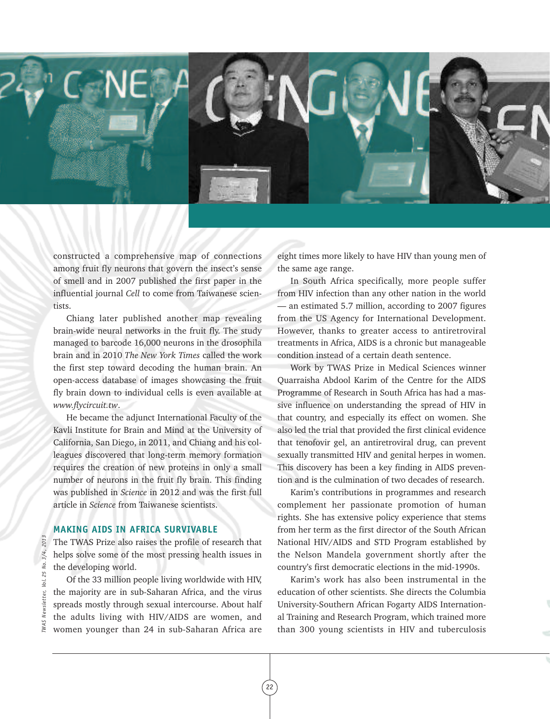

22

constructed a comprehensive map of connections among fruit fly neurons that govern the insect's sense of smell and in 2007 published the first paper in the influential journal *Cell* to come from Taiwanese scientists.

Chiang later published another map revealing brain-wide neural networks in the fruit fly. The study managed to barcode 16,000 neurons in the drosophila brain and in 2010 *The New York Times* called the work the first step toward decoding the human brain. An open-access database of images showcasing the fruit fly brain down to individual cells is even available at *www.flycircuit.tw*.

He became the adjunct International Faculty of the Kavli Institute for Brain and Mind at the University of California, San Diego, in 2011, and Chiang and his colleagues discovered that long-term memory formation requires the creation of new proteins in only a small number of neurons in the fruit fly brain. This finding was published in *Science* in 2012 and was the first full article in *Science* from Taiwanese scientists.

#### **MAKING AIDS IN AFRICA SURVIVABLE**

The TWAS Prize also raises the profile of research that helps solve some of the most pressing health issues in the developing world.

Of the 33 million people living worldwide with HIV, the majority are in sub-Saharan Africa, and the virus spreads mostly through sexual intercourse. About half the adults living with HIV/AIDS are women, and women younger than 24 in sub-Saharan Africa are

eight times more likely to have HIV than young men of the same age range.

In South Africa specifically, more people suffer from HIV infection than any other nation in the world — an estimated 5.7 million, according to 2007 figures from the US Agency for International Development. However, thanks to greater access to antiretroviral treatments in Africa, AIDS is a chronic but manageable condition instead of a certain death sentence.

Work by TWAS Prize in Medical Sciences winner Quarraisha Abdool Karim of the Centre for the AIDS Programme of Research in South Africa has had a massive influence on understanding the spread of HIV in that country, and especially its effect on women. She also led the trial that provided the first clinical evidence that tenofovir gel, an antiretroviral drug, can prevent sexually transmitted HIV and genital herpes in women. This discovery has been a key finding in AIDS prevention and is the culmination of two decades of research.

Karim's contributions in programmes and research complement her passionate promotion of human rights. She has extensive policy experience that stems from her term as the first director of the South African National HIV/AIDS and STD Program established by the Nelson Mandela government shortly after the country's first democratic elections in the mid-1990s.

Karim's work has also been instrumental in the education of other scientists. She directs the Columbia University-Southern African Fogarty AIDS International Training and Research Program, which trained more than 300 young scientists in HIV and tuberculosis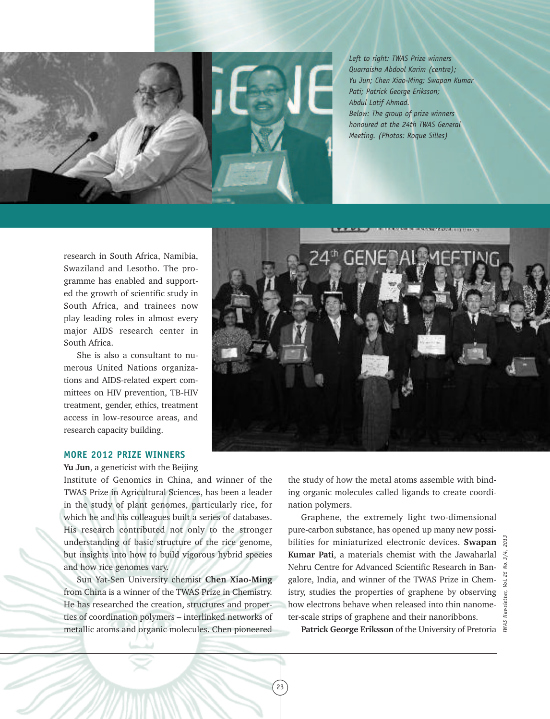

*Left to right: TWAS Prize winners Quarraisha Abdool Karim (centre); Yu Jun; Chen Xiao-Ming; Swapan Kumar Pati; Patrick George Eriksson; Abdul Latif Ahmad. Below: The group of prize winners honoured at the 24th TWAS General Meeting. (Photos: Roque Silles)*

research in South Africa, Namibia, Swaziland and Lesotho. The programme has enabled and supported the growth of scientific study in South Africa, and trainees now play leading roles in almost every major AIDS research center in South Africa.

She is also a consultant to numerous United Nations organizations and AIDS-related expert committees on HIV prevention, TB-HIV treatment, gender, ethics, treatment access in low-resource areas, and research capacity building.



**Yu Jun**, a geneticist with the Beijing

Institute of Genomics in China, and winner of the TWAS Prize in Agricultural Sciences, has been a leader in the study of plant genomes, particularly rice, for which he and his colleagues built a series of databases. His research contributed not only to the stronger understanding of basic structure of the rice genome, but insights into how to build vigorous hybrid species and how rice genomes vary.

Sun Yat-Sen University chemist **Chen Xiao-Ming** from China is a winner of the TWAS Prize in Chemistry. He has researched the creation, structures and properties of coordination polymers – interlinked networks of metallic atoms and organic molecules. Chen pioneered



the study of how the metal atoms assemble with binding organic molecules called ligands to create coordination polymers.

Graphene, the extremely light two-dimensional pure-carbon substance, has opened up many new possibilities for miniaturized electronic devices. **Swapan Kumar Pati**, a materials chemist with the Jawaharlal Nehru Centre for Advanced Scientific Research in Bangalore, India, and winner of the TWAS Prize in Chemistry, studies the properties of graphene by observing how electrons behave when released into thin nanometer-scale strips of graphene and their nanoribbons.

**Patrick George Eriksson** of the University of Pretoria

 $^{'}$  23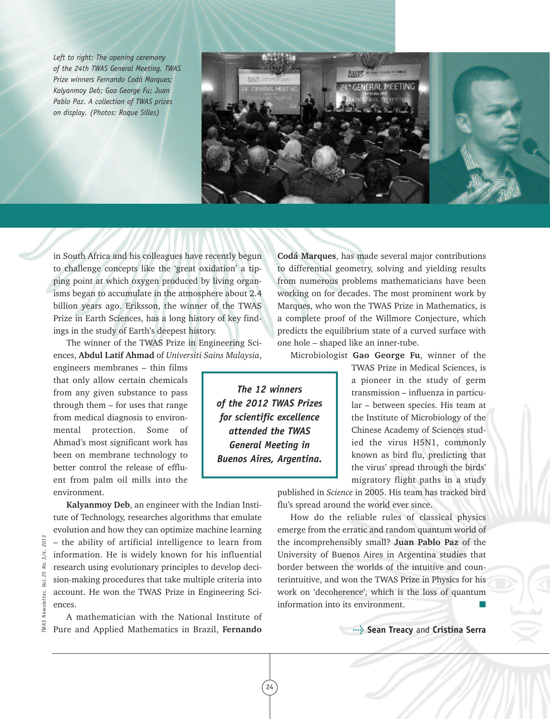*Left to right: The opening ceremony of the 24th TWAS General Meeting. TWAS Prize winners Fernando Codá Marques; Kalyanmoy Deb; Gao George Fu; Juan Pablo Paz. A collection of TWAS prizes on display. (Photos: Roque Silles)*



in South Africa and his colleagues have recently begun to challenge concepts like the 'great oxidation' a tipping point at which oxygen produced by living organisms began to accumulate in the atmosphere about 2.4 billion years ago. Eriksson, the winner of the TWAS Prize in Earth Sciences, has a long history of key findings in the study of Earth's deepest history.

The winner of the TWAS Prize in Engineering Sciences, **Abdul Latif Ahmad** of *Universiti Sains Malaysia*,

engineers membranes – thin films that only allow certain chemicals from any given substance to pass through them – for uses that range from medical diagnosis to environmental protection. Some of Ahmad's most significant work has been on membrane technology to better control the release of effluent from palm oil mills into the environment.

**Kalyanmoy Deb**, an engineer with the Indian Institute of Technology, researches algorithms that emulate evolution and how they can optimize machine learning – the ability of artificial intelligence to learn from information. He is widely known for his influential research using evolutionary principles to develop decision-making procedures that take multiple criteria into account. He won the TWAS Prize in Engineering Sciences.

A mathematician with the National Institute of Pure and Applied Mathematics in Brazil, **Fernando**

**Codá Marques**, has made several major contributions to differential geometry, solving and yielding results from numerous problems mathematicians have been working on for decades. The most prominent work by Marques, who won the TWAS Prize in Mathematics, is a complete proof of the Willmore Conjecture, which predicts the equilibrium state of a curved surface with one hole – shaped like an inner-tube.

Microbiologist **Gao George Fu**, winner of the

*The 12 winners of the 2012 TWAS Prizes for scientific excellence attended the TWAS General Meeting in Buenos Aires, Argentina.*

24

TWAS Prize in Medical Sciences, is a pioneer in the study of germ transmission – influenza in particular – between species. His team at the Institute of Microbiology of the Chinese Academy of Sciences studied the virus H5N1, commonly known as bird flu, predicting that the virus' spread through the birds' migratory flight paths in a study

published in *Science* in 2005. His team has tracked bird flu's spread around the world ever since.

How do the reliable rules of classical physics emerge from the erratic and random quantum world of the incomprehensibly small? **Juan Pablo Paz** of the University of Buenos Aires in Argentina studies that border between the worlds of the intuitive and counterintuitive, and won the TWAS Prize in Physics for his work on 'decoherence', which is the loss of quantum information into its environment. **■**

**> Sean Treacy** and **Cristina Serra**

*TWAS Newsletter, Vol. 25 No. 3/4, 2013* 2013  $3/4,$ χó. 25 Vol. Newsletter, **TWAS**